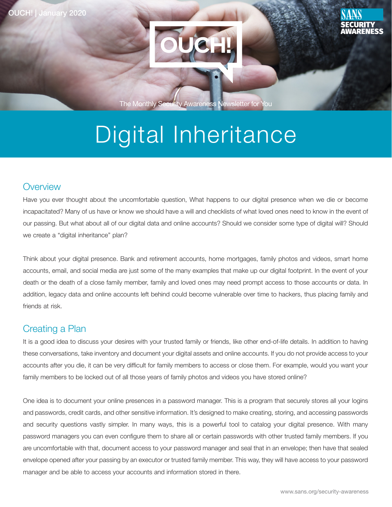

The Monthly Security Awareness Newsletter for You

# Digital Inheritance

#### **Overview**

Have you ever thought about the uncomfortable question, What happens to our digital presence when we die or become incapacitated? Many of us have or know we should have a will and checklists of what loved ones need to know in the event of our passing. But what about all of our digital data and online accounts? Should we consider some type of digital will? Should we create a "digital inheritance" plan?

Think about your digital presence. Bank and retirement accounts, home mortgages, family photos and videos, smart home accounts, email, and social media are just some of the many examples that make up our digital footprint. In the event of your death or the death of a close family member, family and loved ones may need prompt access to those accounts or data. In addition, legacy data and online accounts left behind could become vulnerable over time to hackers, thus placing family and friends at risk.

#### **Creating a Plan**

It is a good idea to discuss your desires with your trusted family or friends, like other end-of-life details. In addition to having these conversations, take inventory and document your digital assets and online accounts. If you do not provide access to your accounts after you die, it can be very difficult for family members to access or close them. For example, would you want your family members to be locked out of all those years of family photos and videos you have stored online?

One idea is to document your online presences in a password manager. This is a program that securely stores all your logins and passwords, credit cards, and other sensitive information. It's designed to make creating, storing, and accessing passwords and security questions vastly simpler. In many ways, this is a powerful tool to catalog your digital presence. With many password managers you can even configure them to share all or certain passwords with other trusted family members. If you are uncomfortable with that, document access to your password manager and seal that in an envelope; then have that sealed envelope opened after your passing by an executor or trusted family member. This way, they will have access to your password manager and be able to access your accounts and information stored in there.